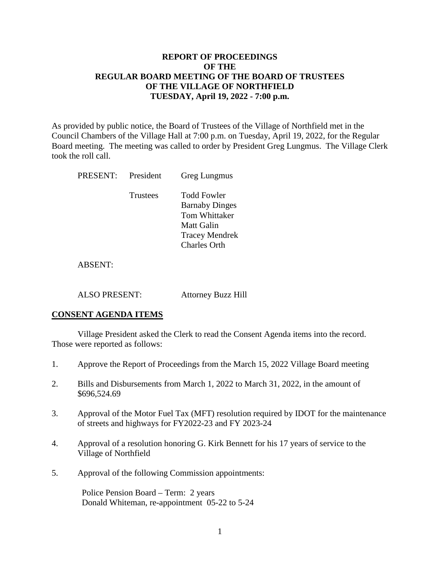# **REPORT OF PROCEEDINGS OF THE REGULAR BOARD MEETING OF THE BOARD OF TRUSTEES OF THE VILLAGE OF NORTHFIELD TUESDAY, April 19, 2022 - 7:00 p.m.**

As provided by public notice, the Board of Trustees of the Village of Northfield met in the Council Chambers of the Village Hall at 7:00 p.m. on Tuesday, April 19, 2022, for the Regular Board meeting. The meeting was called to order by President Greg Lungmus. The Village Clerk took the roll call.

| PRESENT:       | President | Greg Lungmus                                                                                                               |
|----------------|-----------|----------------------------------------------------------------------------------------------------------------------------|
|                | Trustees  | <b>Todd Fowler</b><br><b>Barnaby Dinges</b><br>Tom Whittaker<br>Matt Galin<br><b>Tracey Mendrek</b><br><b>Charles Orth</b> |
| <b>ABSENT:</b> |           |                                                                                                                            |

ALSO PRESENT: Attorney Buzz Hill

## **CONSENT AGENDA ITEMS**

Village President asked the Clerk to read the Consent Agenda items into the record. Those were reported as follows:

- 1. Approve the Report of Proceedings from the March 15, 2022 Village Board meeting
- 2. Bills and Disbursements from March 1, 2022 to March 31, 2022, in the amount of \$696,524.69
- 3. Approval of the Motor Fuel Tax (MFT) resolution required by IDOT for the maintenance of streets and highways for FY2022-23 and FY 2023-24
- 4. Approval of a resolution honoring G. Kirk Bennett for his 17 years of service to the Village of Northfield
- 5. Approval of the following Commission appointments:

Police Pension Board – Term: 2 years Donald Whiteman, re-appointment 05-22 to 5-24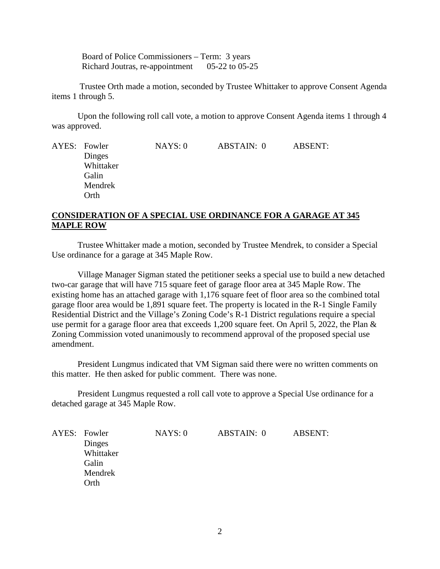Board of Police Commissioners – Term: 3 years Richard Joutras, re-appointment 05-22 to 05-25

Trustee Orth made a motion, seconded by Trustee Whittaker to approve Consent Agenda items 1 through 5.

Upon the following roll call vote, a motion to approve Consent Agenda items 1 through 4 was approved.

AYES: Fowler **NAYS: 0** ABSTAIN: 0 ABSENT: Dinges Whittaker Galin Mendrek Orth

## **CONSIDERATION OF A SPECIAL USE ORDINANCE FOR A GARAGE AT 345 MAPLE ROW**

Trustee Whittaker made a motion, seconded by Trustee Mendrek, to consider a Special Use ordinance for a garage at 345 Maple Row.

Village Manager Sigman stated the petitioner seeks a special use to build a new detached two-car garage that will have 715 square feet of garage floor area at 345 Maple Row. The existing home has an attached garage with 1,176 square feet of floor area so the combined total garage floor area would be 1,891 square feet. The property is located in the R-1 Single Family Residential District and the Village's Zoning Code's R-1 District regulations require a special use permit for a garage floor area that exceeds 1,200 square feet. On April 5, 2022, the Plan & Zoning Commission voted unanimously to recommend approval of the proposed special use amendment.

President Lungmus indicated that VM Sigman said there were no written comments on this matter. He then asked for public comment. There was none.

President Lungmus requested a roll call vote to approve a Special Use ordinance for a detached garage at 345 Maple Row.

| AYES: Fowler | NAYS:0 | ABSTAIN: 0 | <b>ABSENT:</b> |
|--------------|--------|------------|----------------|
| Dinges       |        |            |                |
| Whittaker    |        |            |                |
| Galin        |        |            |                |
| Mendrek      |        |            |                |
| Orth         |        |            |                |
|              |        |            |                |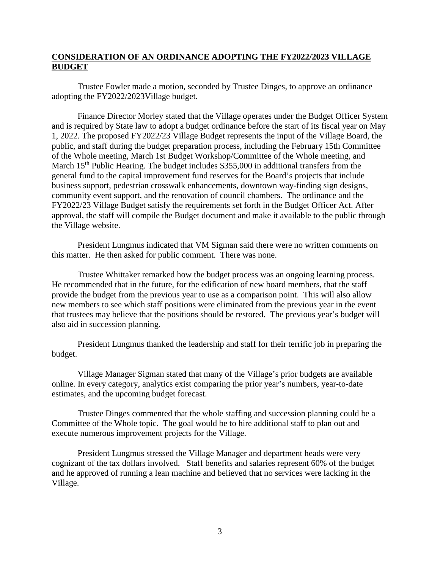# **CONSIDERATION OF AN ORDINANCE ADOPTING THE FY2022/2023 VILLAGE BUDGET**

Trustee Fowler made a motion, seconded by Trustee Dinges, to approve an ordinance adopting the FY2022/2023Village budget.

Finance Director Morley stated that the Village operates under the Budget Officer System and is required by State law to adopt a budget ordinance before the start of its fiscal year on May 1, 2022. The proposed FY2022/23 Village Budget represents the input of the Village Board, the public, and staff during the budget preparation process, including the February 15th Committee of the Whole meeting, March 1st Budget Workshop/Committee of the Whole meeting, and March 15<sup>th</sup> Public Hearing. The budget includes \$355,000 in additional transfers from the general fund to the capital improvement fund reserves for the Board's projects that include business support, pedestrian crosswalk enhancements, downtown way-finding sign designs, community event support, and the renovation of council chambers. The ordinance and the FY2022/23 Village Budget satisfy the requirements set forth in the Budget Officer Act. After approval, the staff will compile the Budget document and make it available to the public through the Village website.

President Lungmus indicated that VM Sigman said there were no written comments on this matter. He then asked for public comment. There was none.

Trustee Whittaker remarked how the budget process was an ongoing learning process. He recommended that in the future, for the edification of new board members, that the staff provide the budget from the previous year to use as a comparison point. This will also allow new members to see which staff positions were eliminated from the previous year in the event that trustees may believe that the positions should be restored. The previous year's budget will also aid in succession planning.

President Lungmus thanked the leadership and staff for their terrific job in preparing the budget.

Village Manager Sigman stated that many of the Village's prior budgets are available online. In every category, analytics exist comparing the prior year's numbers, year-to-date estimates, and the upcoming budget forecast.

Trustee Dinges commented that the whole staffing and succession planning could be a Committee of the Whole topic. The goal would be to hire additional staff to plan out and execute numerous improvement projects for the Village.

President Lungmus stressed the Village Manager and department heads were very cognizant of the tax dollars involved. Staff benefits and salaries represent 60% of the budget and he approved of running a lean machine and believed that no services were lacking in the Village.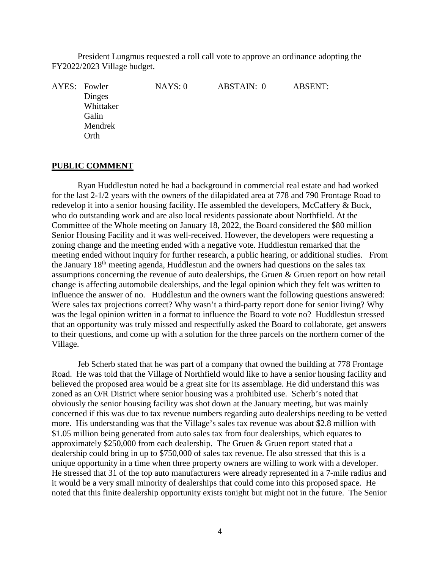President Lungmus requested a roll call vote to approve an ordinance adopting the FY2022/2023 Village budget.

AYES: Fowler MAYS: 0 ABSTAIN: 0 ABSENT: Dinges Whittaker Galin Mendrek Orth

### **PUBLIC COMMENT**

Ryan Huddlestun noted he had a background in commercial real estate and had worked for the last 2-1/2 years with the owners of the dilapidated area at 778 and 790 Frontage Road to redevelop it into a senior housing facility. He assembled the developers, McCaffery & Buck, who do outstanding work and are also local residents passionate about Northfield. At the Committee of the Whole meeting on January 18, 2022, the Board considered the \$80 million Senior Housing Facility and it was well-received. However, the developers were requesting a zoning change and the meeting ended with a negative vote. Huddlestun remarked that the meeting ended without inquiry for further research, a public hearing, or additional studies. From the January  $18<sup>th</sup>$  meeting agenda, Huddlestun and the owners had questions on the sales tax assumptions concerning the revenue of auto dealerships, the Gruen  $\&$  Gruen report on how retail change is affecting automobile dealerships, and the legal opinion which they felt was written to influence the answer of no. Huddlestun and the owners want the following questions answered: Were sales tax projections correct? Why wasn't a third-party report done for senior living? Why was the legal opinion written in a format to influence the Board to vote no? Huddlestun stressed that an opportunity was truly missed and respectfully asked the Board to collaborate, get answers to their questions, and come up with a solution for the three parcels on the northern corner of the Village.

Jeb Scherb stated that he was part of a company that owned the building at 778 Frontage Road. He was told that the Village of Northfield would like to have a senior housing facility and believed the proposed area would be a great site for its assemblage. He did understand this was zoned as an O/R District where senior housing was a prohibited use. Scherb's noted that obviously the senior housing facility was shot down at the January meeting, but was mainly concerned if this was due to tax revenue numbers regarding auto dealerships needing to be vetted more. His understanding was that the Village's sales tax revenue was about \$2.8 million with \$1.05 million being generated from auto sales tax from four dealerships, which equates to approximately \$250,000 from each dealership. The Gruen  $\&$  Gruen report stated that a dealership could bring in up to \$750,000 of sales tax revenue. He also stressed that this is a unique opportunity in a time when three property owners are willing to work with a developer. He stressed that 31 of the top auto manufacturers were already represented in a 7-mile radius and it would be a very small minority of dealerships that could come into this proposed space. He noted that this finite dealership opportunity exists tonight but might not in the future. The Senior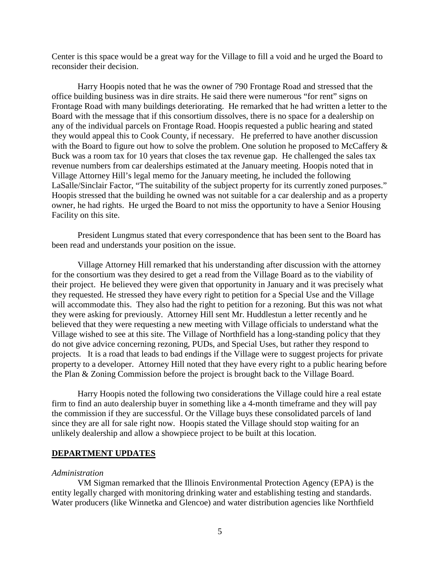Center is this space would be a great way for the Village to fill a void and he urged the Board to reconsider their decision.

Harry Hoopis noted that he was the owner of 790 Frontage Road and stressed that the office building business was in dire straits. He said there were numerous "for rent" signs on Frontage Road with many buildings deteriorating. He remarked that he had written a letter to the Board with the message that if this consortium dissolves, there is no space for a dealership on any of the individual parcels on Frontage Road. Hoopis requested a public hearing and stated they would appeal this to Cook County, if necessary. He preferred to have another discussion with the Board to figure out how to solve the problem. One solution he proposed to McCaffery  $\&$ Buck was a room tax for 10 years that closes the tax revenue gap. He challenged the sales tax revenue numbers from car dealerships estimated at the January meeting. Hoopis noted that in Village Attorney Hill's legal memo for the January meeting, he included the following LaSalle/Sinclair Factor, "The suitability of the subject property for its currently zoned purposes." Hoopis stressed that the building he owned was not suitable for a car dealership and as a property owner, he had rights. He urged the Board to not miss the opportunity to have a Senior Housing Facility on this site.

President Lungmus stated that every correspondence that has been sent to the Board has been read and understands your position on the issue.

Village Attorney Hill remarked that his understanding after discussion with the attorney for the consortium was they desired to get a read from the Village Board as to the viability of their project. He believed they were given that opportunity in January and it was precisely what they requested. He stressed they have every right to petition for a Special Use and the Village will accommodate this. They also had the right to petition for a rezoning. But this was not what they were asking for previously. Attorney Hill sent Mr. Huddlestun a letter recently and he believed that they were requesting a new meeting with Village officials to understand what the Village wished to see at this site. The Village of Northfield has a long-standing policy that they do not give advice concerning rezoning, PUDs, and Special Uses, but rather they respond to projects. It is a road that leads to bad endings if the Village were to suggest projects for private property to a developer. Attorney Hill noted that they have every right to a public hearing before the Plan & Zoning Commission before the project is brought back to the Village Board.

Harry Hoopis noted the following two considerations the Village could hire a real estate firm to find an auto dealership buyer in something like a 4-month timeframe and they will pay the commission if they are successful. Or the Village buys these consolidated parcels of land since they are all for sale right now. Hoopis stated the Village should stop waiting for an unlikely dealership and allow a showpiece project to be built at this location.

### **DEPARTMENT UPDATES**

#### *Administration*

VM Sigman remarked that the Illinois Environmental Protection Agency (EPA) is the entity legally charged with monitoring drinking water and establishing testing and standards. Water producers (like Winnetka and Glencoe) and water distribution agencies like Northfield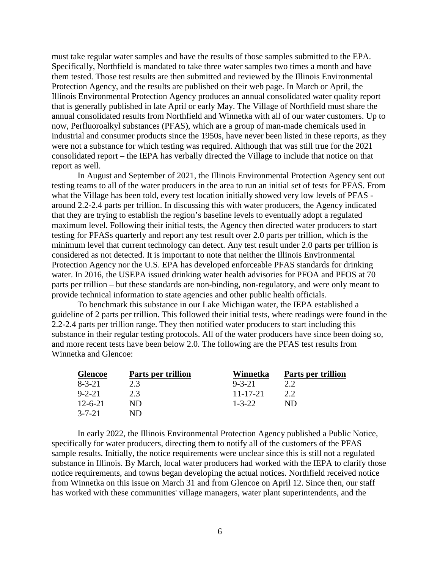must take regular water samples and have the results of those samples submitted to the EPA. Specifically, Northfield is mandated to take three water samples two times a month and have them tested. Those test results are then submitted and reviewed by the Illinois Environmental Protection Agency, and the results are published on their web page. In March or April, the Illinois Environmental Protection Agency produces an annual consolidated water quality report that is generally published in late April or early May. The Village of Northfield must share the annual consolidated results from Northfield and Winnetka with all of our water customers. Up to now, Perfluoroalkyl substances (PFAS), which are a group of man-made chemicals used in industrial and consumer products since the 1950s, have never been listed in these reports, as they were not a substance for which testing was required. Although that was still true for the 2021 consolidated report – the IEPA has verbally directed the Village to include that notice on that report as well.

In August and September of 2021, the Illinois Environmental Protection Agency sent out testing teams to all of the water producers in the area to run an initial set of tests for PFAS. From what the Village has been told, every test location initially showed very low levels of PFAS around 2.2-2.4 parts per trillion. In discussing this with water producers, the Agency indicated that they are trying to establish the region's baseline levels to eventually adopt a regulated maximum level. Following their initial tests, the Agency then directed water producers to start testing for PFASs quarterly and report any test result over 2.0 parts per trillion, which is the minimum level that current technology can detect. Any test result under 2.0 parts per trillion is considered as not detected. It is important to note that neither the Illinois Environmental Protection Agency nor the U.S. EPA has developed enforceable PFAS standards for drinking water. In 2016, the USEPA issued drinking water health advisories for PFOA and PFOS at 70 parts per trillion – but these standards are non-binding, non-regulatory, and were only meant to provide technical information to state agencies and other public health officials.

To benchmark this substance in our Lake Michigan water, the IEPA established a guideline of 2 parts per trillion. This followed their initial tests, where readings were found in the 2.2-2.4 parts per trillion range. They then notified water producers to start including this substance in their regular testing protocols. All of the water producers have since been doing so, and more recent tests have been below 2.0. The following are the PFAS test results from Winnetka and Glencoe:

| <b>Glencoe</b> | Parts per trillion | Winnetka       | Parts per trillion |
|----------------|--------------------|----------------|--------------------|
| $8 - 3 - 21$   | 2.3                | $9 - 3 - 21$   |                    |
| $9 - 2 - 21$   | 23                 | $11 - 17 - 21$ | 2.2                |
| $12 - 6 - 21$  | ND.                | $1 - 3 - 22$   | ND                 |
| $3 - 7 - 21$   | ND                 |                |                    |

In early 2022, the Illinois Environmental Protection Agency published a Public Notice, specifically for water producers, directing them to notify all of the customers of the PFAS sample results. Initially, the notice requirements were unclear since this is still not a regulated substance in Illinois. By March, local water producers had worked with the IEPA to clarify those notice requirements, and towns began developing the actual notices. Northfield received notice from Winnetka on this issue on March 31 and from Glencoe on April 12. Since then, our staff has worked with these communities' village managers, water plant superintendents, and the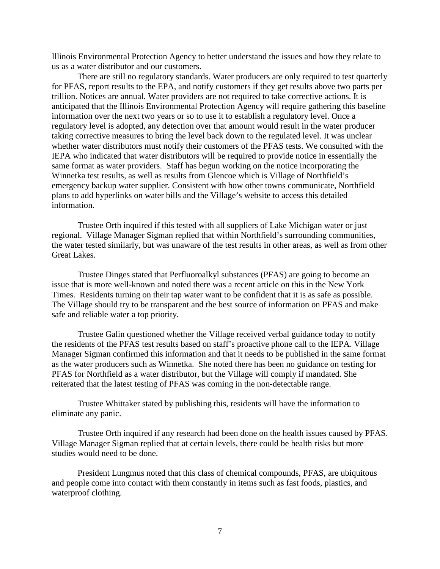Illinois Environmental Protection Agency to better understand the issues and how they relate to us as a water distributor and our customers.

There are still no regulatory standards. Water producers are only required to test quarterly for PFAS, report results to the EPA, and notify customers if they get results above two parts per trillion. Notices are annual. Water providers are not required to take corrective actions. It is anticipated that the Illinois Environmental Protection Agency will require gathering this baseline information over the next two years or so to use it to establish a regulatory level. Once a regulatory level is adopted, any detection over that amount would result in the water producer taking corrective measures to bring the level back down to the regulated level. It was unclear whether water distributors must notify their customers of the PFAS tests. We consulted with the IEPA who indicated that water distributors will be required to provide notice in essentially the same format as water providers. Staff has begun working on the notice incorporating the Winnetka test results, as well as results from Glencoe which is Village of Northfield's emergency backup water supplier. Consistent with how other towns communicate, Northfield plans to add hyperlinks on water bills and the Village's website to access this detailed information.

Trustee Orth inquired if this tested with all suppliers of Lake Michigan water or just regional. Village Manager Sigman replied that within Northfield's surrounding communities, the water tested similarly, but was unaware of the test results in other areas, as well as from other Great Lakes.

Trustee Dinges stated that Perfluoroalkyl substances (PFAS) are going to become an issue that is more well-known and noted there was a recent article on this in the New York Times. Residents turning on their tap water want to be confident that it is as safe as possible. The Village should try to be transparent and the best source of information on PFAS and make safe and reliable water a top priority.

Trustee Galin questioned whether the Village received verbal guidance today to notify the residents of the PFAS test results based on staff's proactive phone call to the IEPA. Village Manager Sigman confirmed this information and that it needs to be published in the same format as the water producers such as Winnetka. She noted there has been no guidance on testing for PFAS for Northfield as a water distributor, but the Village will comply if mandated. She reiterated that the latest testing of PFAS was coming in the non-detectable range.

Trustee Whittaker stated by publishing this, residents will have the information to eliminate any panic.

Trustee Orth inquired if any research had been done on the health issues caused by PFAS. Village Manager Sigman replied that at certain levels, there could be health risks but more studies would need to be done.

President Lungmus noted that this class of chemical compounds, PFAS, are ubiquitous and people come into contact with them constantly in items such as fast foods, plastics, and waterproof clothing.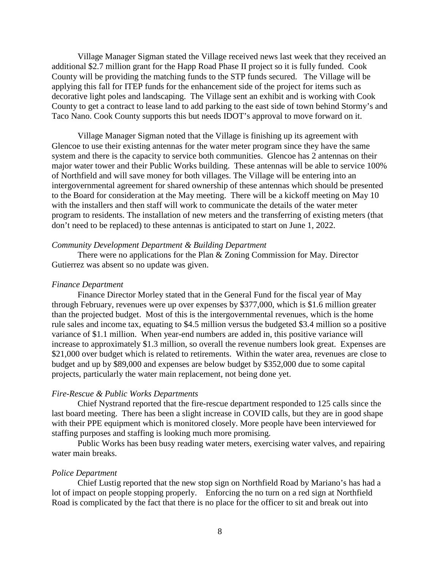Village Manager Sigman stated the Village received news last week that they received an additional \$2.7 million grant for the Happ Road Phase II project so it is fully funded. Cook County will be providing the matching funds to the STP funds secured. The Village will be applying this fall for ITEP funds for the enhancement side of the project for items such as decorative light poles and landscaping. The Village sent an exhibit and is working with Cook County to get a contract to lease land to add parking to the east side of town behind Stormy's and Taco Nano. Cook County supports this but needs IDOT's approval to move forward on it.

Village Manager Sigman noted that the Village is finishing up its agreement with Glencoe to use their existing antennas for the water meter program since they have the same system and there is the capacity to service both communities. Glencoe has 2 antennas on their major water tower and their Public Works building. These antennas will be able to service 100% of Northfield and will save money for both villages. The Village will be entering into an intergovernmental agreement for shared ownership of these antennas which should be presented to the Board for consideration at the May meeting. There will be a kickoff meeting on May 10 with the installers and then staff will work to communicate the details of the water meter program to residents. The installation of new meters and the transferring of existing meters (that don't need to be replaced) to these antennas is anticipated to start on June 1, 2022.

## *Community Development Department & Building Department*

There were no applications for the Plan & Zoning Commission for May. Director Gutierrez was absent so no update was given.

### *Finance Department*

Finance Director Morley stated that in the General Fund for the fiscal year of May through February, revenues were up over expenses by \$377,000, which is \$1.6 million greater than the projected budget. Most of this is the intergovernmental revenues, which is the home rule sales and income tax, equating to \$4.5 million versus the budgeted \$3.4 million so a positive variance of \$1.1 million. When year-end numbers are added in, this positive variance will increase to approximately \$1.3 million, so overall the revenue numbers look great. Expenses are \$21,000 over budget which is related to retirements. Within the water area, revenues are close to budget and up by \$89,000 and expenses are below budget by \$352,000 due to some capital projects, particularly the water main replacement, not being done yet.

### *Fire-Rescue & Public Works Departments*

Chief Nystrand reported that the fire-rescue department responded to 125 calls since the last board meeting. There has been a slight increase in COVID calls, but they are in good shape with their PPE equipment which is monitored closely. More people have been interviewed for staffing purposes and staffing is looking much more promising.

Public Works has been busy reading water meters, exercising water valves, and repairing water main breaks.

#### *Police Department*

Chief Lustig reported that the new stop sign on Northfield Road by Mariano's has had a lot of impact on people stopping properly. Enforcing the no turn on a red sign at Northfield Road is complicated by the fact that there is no place for the officer to sit and break out into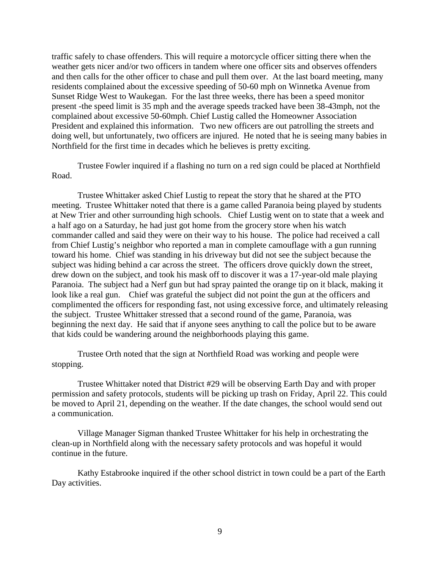traffic safely to chase offenders. This will require a motorcycle officer sitting there when the weather gets nicer and/or two officers in tandem where one officer sits and observes offenders and then calls for the other officer to chase and pull them over. At the last board meeting, many residents complained about the excessive speeding of 50-60 mph on Winnetka Avenue from Sunset Ridge West to Waukegan. For the last three weeks, there has been a speed monitor present -the speed limit is 35 mph and the average speeds tracked have been 38-43mph, not the complained about excessive 50-60mph. Chief Lustig called the Homeowner Association President and explained this information. Two new officers are out patrolling the streets and doing well, but unfortunately, two officers are injured. He noted that he is seeing many babies in Northfield for the first time in decades which he believes is pretty exciting.

Trustee Fowler inquired if a flashing no turn on a red sign could be placed at Northfield Road.

Trustee Whittaker asked Chief Lustig to repeat the story that he shared at the PTO meeting. Trustee Whittaker noted that there is a game called Paranoia being played by students at New Trier and other surrounding high schools. Chief Lustig went on to state that a week and a half ago on a Saturday, he had just got home from the grocery store when his watch commander called and said they were on their way to his house. The police had received a call from Chief Lustig's neighbor who reported a man in complete camouflage with a gun running toward his home. Chief was standing in his driveway but did not see the subject because the subject was hiding behind a car across the street. The officers drove quickly down the street, drew down on the subject, and took his mask off to discover it was a 17-year-old male playing Paranoia. The subject had a Nerf gun but had spray painted the orange tip on it black, making it look like a real gun. Chief was grateful the subject did not point the gun at the officers and complimented the officers for responding fast, not using excessive force, and ultimately releasing the subject. Trustee Whittaker stressed that a second round of the game, Paranoia, was beginning the next day. He said that if anyone sees anything to call the police but to be aware that kids could be wandering around the neighborhoods playing this game.

Trustee Orth noted that the sign at Northfield Road was working and people were stopping.

Trustee Whittaker noted that District #29 will be observing Earth Day and with proper permission and safety protocols, students will be picking up trash on Friday, April 22. This could be moved to April 21, depending on the weather. If the date changes, the school would send out a communication.

Village Manager Sigman thanked Trustee Whittaker for his help in orchestrating the clean-up in Northfield along with the necessary safety protocols and was hopeful it would continue in the future.

Kathy Estabrooke inquired if the other school district in town could be a part of the Earth Day activities.